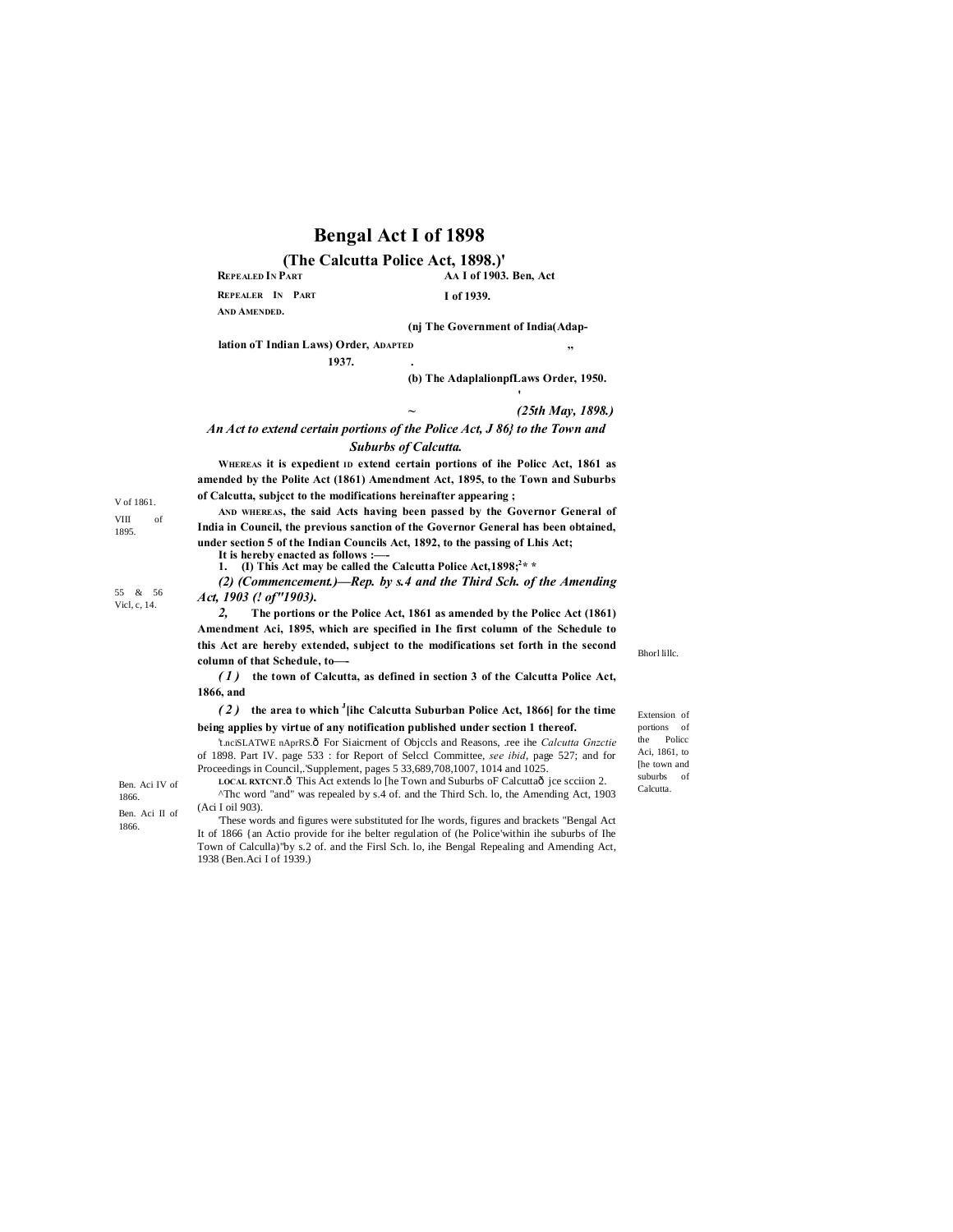# **Bengal Act I of 1898**

#### **AA I of 1903. Ben, Act REPEALED IN PART (The Calcutta Police Act, 1898.)'**

**REPEALER IN PART** 

**I of 1939.**

**AND AMENDED.**

**(nj The Government of India(Adap-**

**lation oT Indian Laws) Order, ADAPTED ,,**

**1937. .**

**(b) The AdaplalionpfLaws Order, 1950.**

*~ (25th May, 1898.)*

### *An Act to extend certain portions of the Police Act, J 86} to the Town and Suburbs of Calcutta.*

**WHEREAS it is expedient ID extend certain portions of ihe Policc Act, 1861 as amended by the Polite Act (1861) Amendment Act, 1895, to the Town and Suburbs of Calcutta, subjcct to the modifications hereinafter appearing ;**

**AND WHEREAS, the said Acts having been passed by the Governor General of India in Council, the previous sanction of the Governor General has been obtained, under section 5 of the Indian Councils Act, 1892, to the passing of Lhis Act;**

**It is hereby enacted as follows :—-**

1. **(I) This Act may be called the Calcutta Police Act, 1898;<sup>2</sup> \*** 

*(2) (Commencement.)—Rep. by s.4 and the Third Sch. of the Amending Act, 1903 (! of"1903).*

*2,* **The portions or the Police Act, 1861 as amended by the Policc Act (1861) Amendment Aci, 1895, which are specified in Ihe first column of the Schedule to this Act are hereby extended, subject to the modifications set forth in the second column of that Schedule, to—-**

*( 1 )* **the town of Calcutta, as defined in section 3 of the Calcutta Police Act, 1866, and**

#### *( 2 )* **the area to which <sup>J</sup> [ihc Calcutta Suburban Police Act, 1866] for the time being applies by virtue of any notification published under section 1 thereof.**

't.nciSLATWE nAprRS.ô For Siaicrnent of Objccls and Reasons, .ree ihe *Calcutta Gnzctie* of 1898. Part IV. page 533 : for Report of Selccl Committee, *see ibid*, page 527; and for Proceedings in Council,.'Supplement, pages 5 33,689,708,1007, 1014 and 1025. **LOCAL RXTCNT.** $\hat{\theta}$  This Act extends lo [he Town and Suburbs of Calcutta $\hat{\theta}$  ice scciion 2.

1866. Ben. Aci II of 1866.

V of 1861. VIII of 1895.

55 & 56 Vicl, c, 14.

> Ben. Aci IV of LOCAL RXTCNT.O This Act extends to the Town and Suburbs of Calcuttao Jce scciton 2.<br>1866. <sup>Arr</sup>angle <sup>Arr</sup> and " was repealed by s.4 of. and the Third Sch. lo, the Amending Act, 1903 (Aci I oil 903). 'These words and figures were substituted for Ihe words, figures and brackets "Bengal Act

It of 1866 {an Actio provide for ihe belter regulation of (he Police'within ihe suburbs of Ihe Town of Calculla)"by s.2 of. and the Firsl Sch. lo, ihe Bengal Repealing and Amending Act, 1938 (Ben.Aci I of 1939.)

Bhorl lillc.

Extension of portions of the Police Aci, 1861, to [he town and suburbs of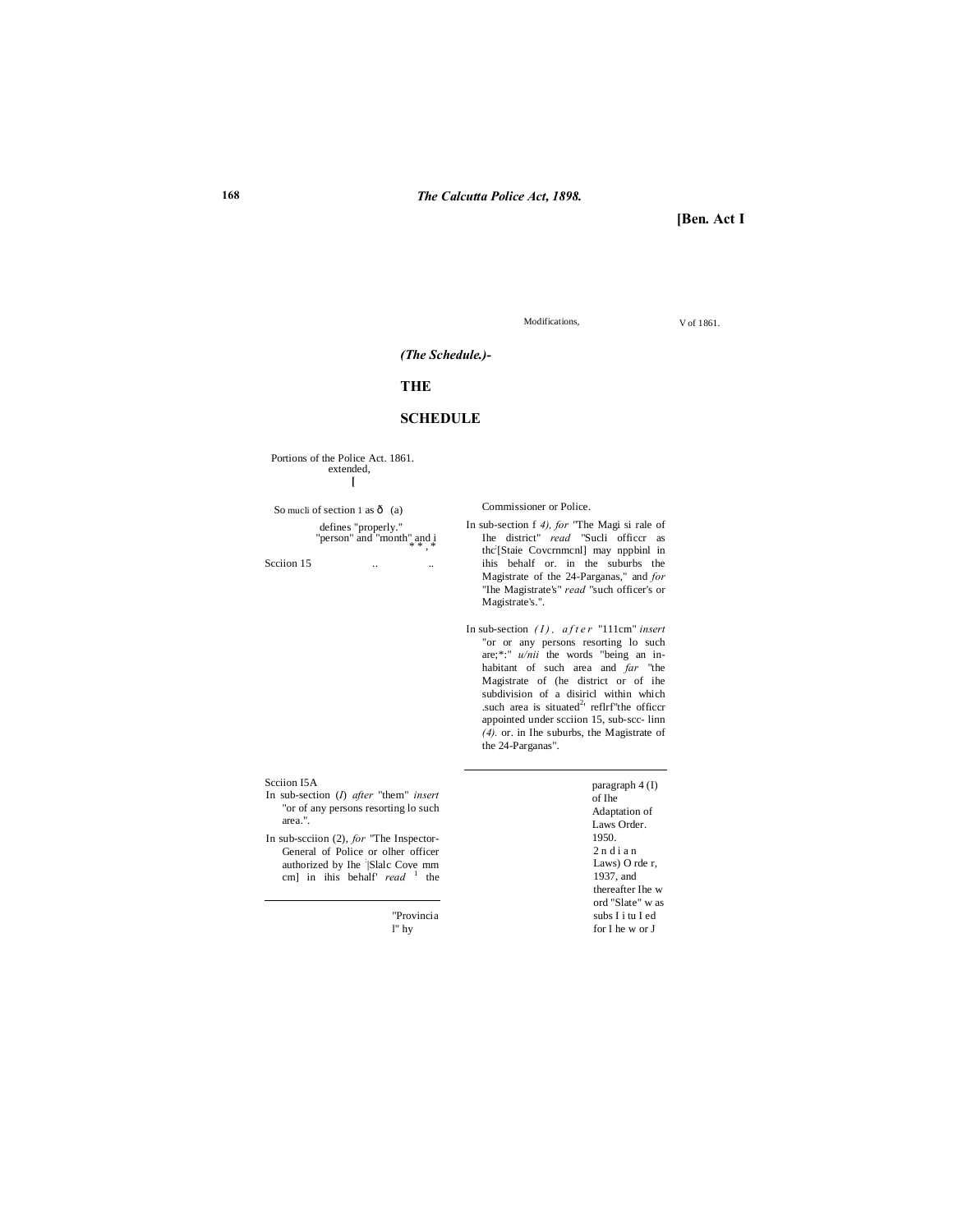**[Ben. Act I**

Modifications,  $V$  of 1861.

### *(The Schedule.)-*

## **THE**

## **SCHEDULE**

Portions of the Police Act. 1861. extended, **[**

So mucli of section 1 as  $\hat{o}$  (a) defines "properly."<br>"person" and "month" and i

Seciion 15 ...

Commissioner or Police.

- In sub-section f *4), for* "The Magi si rale of Ihe district" *read* "Sucli officcr as thc: [Staie Covcrnmcnl] may nppbinl in ihis behalf or. in the suburbs the Magistrate of the 24-Parganas," and *for* "Ihe Magistrate's" *read* "such officer's or Magistrate's.".
- In sub-section (*I*), after "111cm" insert "or or any persons resorting lo such are;\*:" *u/nii* the words "being an inhabitant of such area and *far* "the Magistrate of (he district or of ihe subdivision of a disiricl within which .such area is situated<sup>2</sup> reflrf"the officer appointed under scciion 15, sub-scc- linn *(4).* or. in Ihe suburbs, the Magistrate of the 24-Parganas".

#### Scciion I5A

- In sub-section (*I*) *after* "them" *insert*  "or of any persons resorting lo such area.".
- In sub-scciion (2), *for* "The Inspector-General of Police or olher officer authorized by Ihe <sup>:</sup> Slalc Cove mm<br>cm] in ihis behalf' *read* <sup>1</sup> the

 "Provincia l" hy

 paragraph 4 (I) of Ihe Adaptation of Laws Order. 1950.  $2$ n di an Laws) O rde r, 1937, and thereafter Ihe w ord "Slate" w as subs I i tu I ed for I he w or J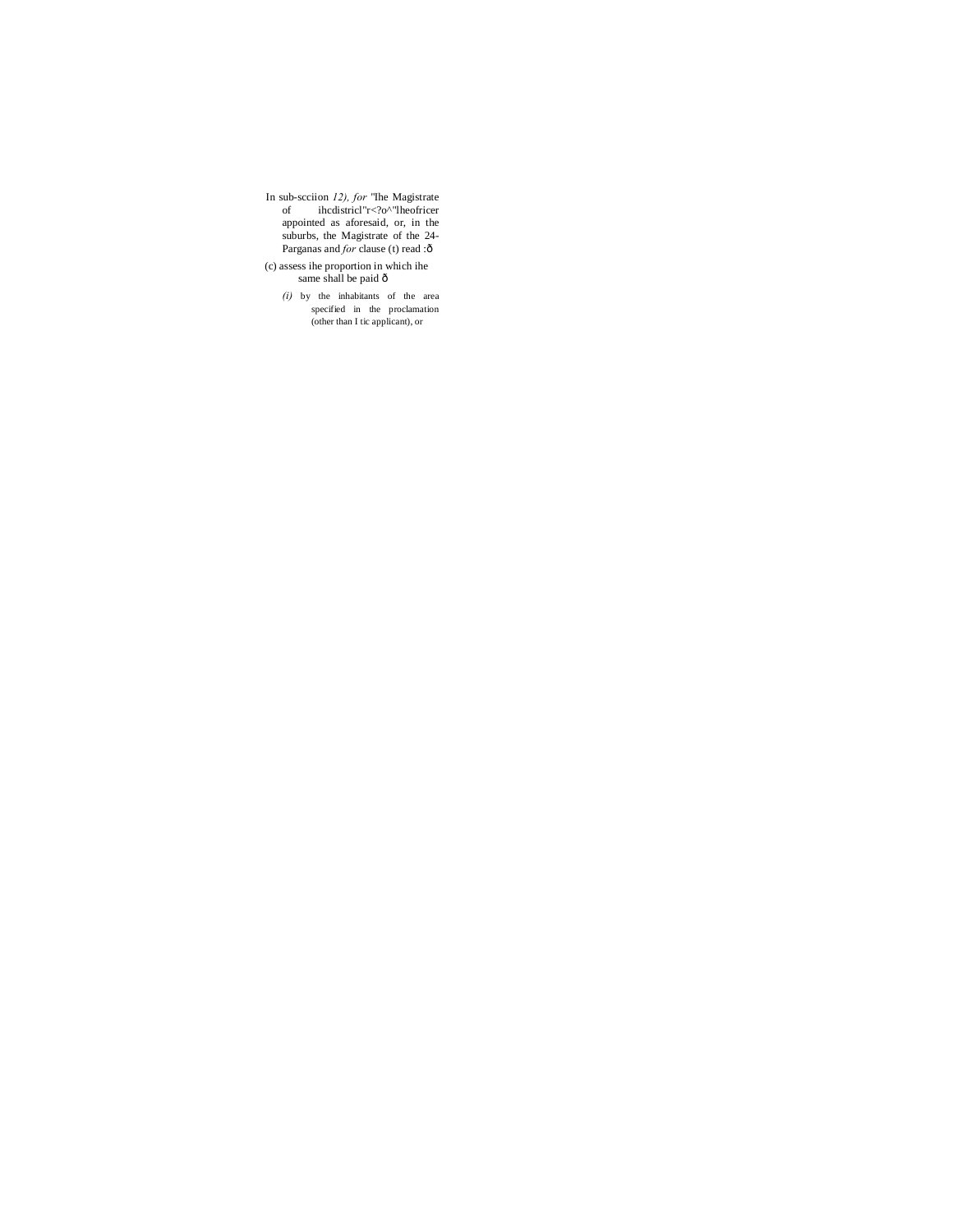In sub-scciion *12), for* "Ihe Magistrate of ihcdistricl"r<?o^"lheofricer appointed as aforesaid, or, in the suburbs, the Magistrate of the 24- Parganas and *for* clause (t) read :ô

(c) assess ihe proportion in which ihe same shall be paid  $\hat{o}$ 

*(i)* by the inhabitants of the area specified in the proclamation (other than I tic applicant), or